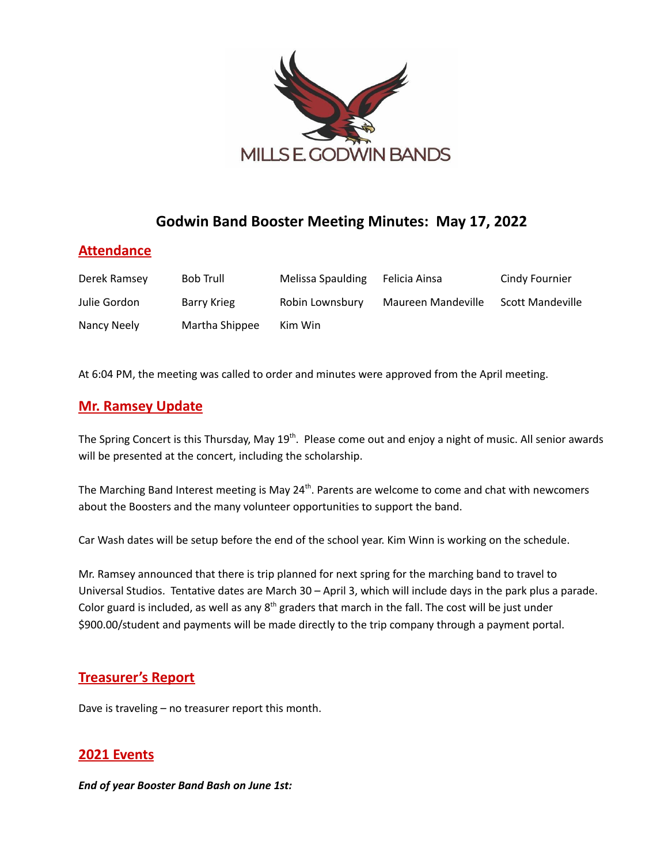

# **Godwin Band Booster Meeting Minutes: May 17, 2022**

## **Attendance**

| Derek Ramsey | <b>Bob Trull</b> | Melissa Spaulding | Felicia Ainsa      | Cindy Fournier          |
|--------------|------------------|-------------------|--------------------|-------------------------|
| Julie Gordon | Barry Krieg      | Robin Lownsbury   | Maureen Mandeville | <b>Scott Mandeville</b> |
| Nancy Neely  | Martha Shippee   | Kim Win           |                    |                         |

At 6:04 PM, the meeting was called to order and minutes were approved from the April meeting.

## **Mr. Ramsey Update**

The Spring Concert is this Thursday, May 19<sup>th</sup>. Please come out and enjoy a night of music. All senior awards will be presented at the concert, including the scholarship.

The Marching Band Interest meeting is May 24<sup>th</sup>. Parents are welcome to come and chat with newcomers about the Boosters and the many volunteer opportunities to support the band.

Car Wash dates will be setup before the end of the school year. Kim Winn is working on the schedule.

Mr. Ramsey announced that there is trip planned for next spring for the marching band to travel to Universal Studios. Tentative dates are March 30 – April 3, which will include days in the park plus a parade. Color guard is included, as well as any  $8<sup>th</sup>$  graders that march in the fall. The cost will be just under \$900.00/student and payments will be made directly to the trip company through a payment portal.

## **Treasurer's Report**

Dave is traveling – no treasurer report this month.

## **2021 Events**

*End of year Booster Band Bash on June 1st:*